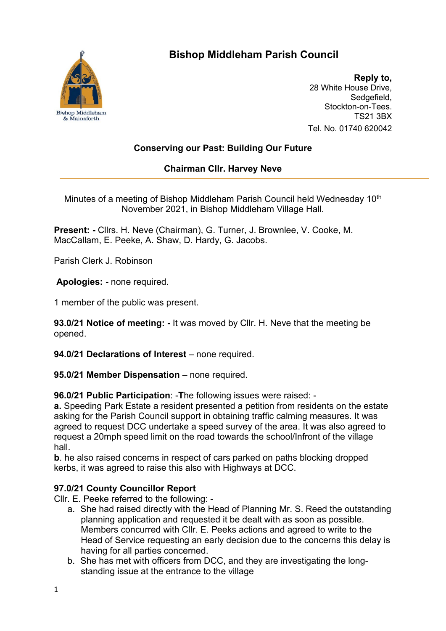

# **Bishop Middleham Parish Council**

**Reply to,** 28 White House Drive, Sedgefield, Stockton-on-Tees. TS21 3BX Tel. No. 01740 620042

## **Conserving our Past: Building Our Future**

## **Chairman Cllr. Harvey Neve**

Minutes of a meeting of Bishop Middleham Parish Council held Wednesday 10<sup>th</sup> November 2021, in Bishop Middleham Village Hall.

**Present: -** Cllrs. H. Neve (Chairman), G. Turner, J. Brownlee, V. Cooke, M. MacCallam, E. Peeke, A. Shaw, D. Hardy, G. Jacobs.

Parish Clerk J. Robinson

**Apologies: -** none required.

1 member of the public was present.

**93.0/21 Notice of meeting: -** It was moved by Cllr. H. Neve that the meeting be opened.

**94.0/21 Declarations of Interest** – none required.

**95.0/21 Member Dispensation** – none required.

**96.0/21 Public Participation**: -**T**he following issues were raised: -

**a.** Speeding Park Estate a resident presented a petition from residents on the estate asking for the Parish Council support in obtaining traffic calming measures. It was agreed to request DCC undertake a speed survey of the area. It was also agreed to request a 20mph speed limit on the road towards the school/Infront of the village hall.

**b**. he also raised concerns in respect of cars parked on paths blocking dropped kerbs, it was agreed to raise this also with Highways at DCC.

## **97.0/21 County Councillor Report**

Cllr. E. Peeke referred to the following: -

- a. She had raised directly with the Head of Planning Mr. S. Reed the outstanding planning application and requested it be dealt with as soon as possible. Members concurred with Cllr. E. Peeks actions and agreed to write to the Head of Service requesting an early decision due to the concerns this delay is having for all parties concerned.
- b. She has met with officers from DCC, and they are investigating the longstanding issue at the entrance to the village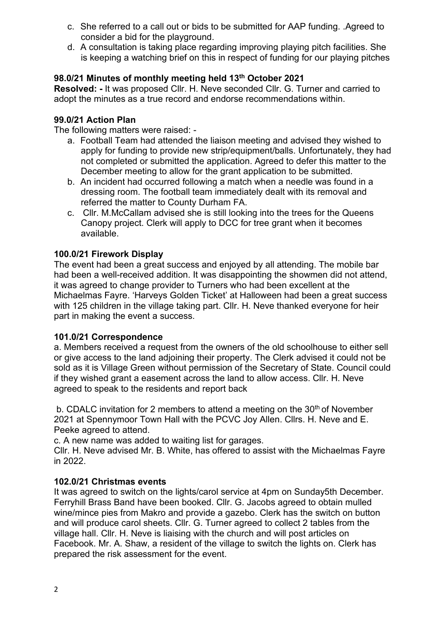- c. She referred to a call out or bids to be submitted for AAP funding. .Agreed to consider a bid for the playground.
- d. A consultation is taking place regarding improving playing pitch facilities. She is keeping a watching brief on this in respect of funding for our playing pitches

## **98.0/21 Minutes of monthly meeting held 13th October 2021**

**Resolved: -** It was proposed Cllr. H. Neve seconded Cllr. G. Turner and carried to adopt the minutes as a true record and endorse recommendations within.

#### **99.0/21 Action Plan**

The following matters were raised: -

- a. Football Team had attended the liaison meeting and advised they wished to apply for funding to provide new strip/equipment/balls. Unfortunately, they had not completed or submitted the application. Agreed to defer this matter to the December meeting to allow for the grant application to be submitted.
- b. An incident had occurred following a match when a needle was found in a dressing room. The football team immediately dealt with its removal and referred the matter to County Durham FA.
- c. Cllr. M.McCallam advised she is still looking into the trees for the Queens Canopy project. Clerk will apply to DCC for tree grant when it becomes available.

#### **100.0/21 Firework Display**

The event had been a great success and enjoyed by all attending. The mobile bar had been a well-received addition. It was disappointing the showmen did not attend, it was agreed to change provider to Turners who had been excellent at the Michaelmas Fayre. 'Harveys Golden Ticket' at Halloween had been a great success with 125 children in the village taking part. Cllr. H. Neve thanked everyone for heir part in making the event a success.

#### **101.0/21 Correspondence**

a. Members received a request from the owners of the old schoolhouse to either sell or give access to the land adjoining their property. The Clerk advised it could not be sold as it is Village Green without permission of the Secretary of State. Council could if they wished grant a easement across the land to allow access. Cllr. H. Neve agreed to speak to the residents and report back

b. CDALC invitation for 2 members to attend a meeting on the  $30<sup>th</sup>$  of November 2021 at Spennymoor Town Hall with the PCVC Joy Allen. Cllrs. H. Neve and E. Peeke agreed to attend.

c. A new name was added to waiting list for garages.

Cllr. H. Neve advised Mr. B. White, has offered to assist with the Michaelmas Fayre in 2022.

#### **102.0/21 Christmas events**

It was agreed to switch on the lights/carol service at 4pm on Sunday5th December. Ferryhill Brass Band have been booked. Cllr. G. Jacobs agreed to obtain mulled wine/mince pies from Makro and provide a gazebo. Clerk has the switch on button and will produce carol sheets. Cllr. G. Turner agreed to collect 2 tables from the village hall. Cllr. H. Neve is liaising with the church and will post articles on Facebook. Mr. A. Shaw, a resident of the village to switch the lights on. Clerk has prepared the risk assessment for the event.